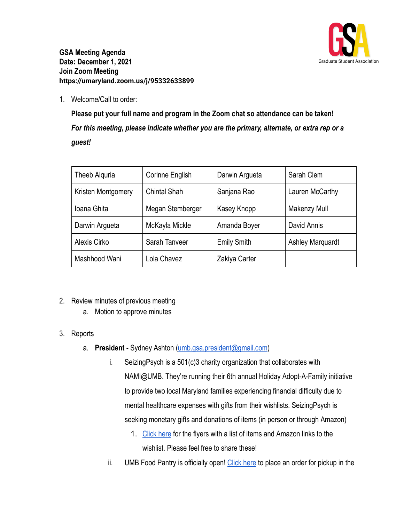

**GSA Meeting Agenda Date: December 1, 2021 Join Zoom Meeting https://umaryland.zoom.us/j/95332633899**

1. Welcome/Call to order:

**Please put your full name and program in the Zoom chat so attendance can be taken!** *For this meeting, please indicate whether you are the primary, alternate, or extra rep or a guest!*

| Theeb Alguria      | Corinne English     | Darwin Argueta     | Sarah Clem              |
|--------------------|---------------------|--------------------|-------------------------|
| Kristen Montgomery | <b>Chintal Shah</b> | Sanjana Rao        | Lauren McCarthy         |
| Ioana Ghita        | Megan Stemberger    | Kasey Knopp        | Makenzy Mull            |
| Darwin Argueta     | McKayla Mickle      | Amanda Boyer       | David Annis             |
| Alexis Cirko       | Sarah Tanveer       | <b>Emily Smith</b> | <b>Ashley Marquardt</b> |
| Mashhood Wani      | Lola Chavez         | Zakiya Carter      |                         |

- 2. Review minutes of previous meeting
	- a. Motion to approve minutes
- 3. Reports
	- a. **President** Sydney Ashton ([umb.gsa.president@gmail.com\)](mailto:umb.gsa.president@gmail.com)
		- i. SeizingPsych is a 501(c)3 charity organization that collaborates with NAMI@UMB. They're running their 6th annual Holiday Adopt-A-Family initiative to provide two local Maryland families experiencing financial difficulty due to mental healthcare expenses with gifts from their wishlists. SeizingPsych is seeking monetary gifts and donations of items (in person or through Amazon)
			- 1. [Click here](https://drive.google.com/drive/folders/1zldStUeG1fgciJ22aungqeg35b56G1_8?usp=sharing) for the flyers with a list of items and Amazon links to the wishlist. Please feel free to share these!
		- ii. UMB Food Pantry is officially open! [Click here](https://clbs.wufoo.com/forms/m1r7ykdq15ixe54/) to place an order for pickup in the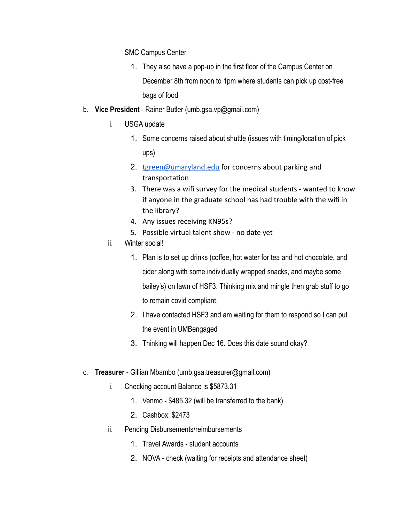SMC Campus Center

- 1. They also have a pop-up in the first floor of the Campus Center on December 8th from noon to 1pm where students can pick up cost-free bags of food
- b. **Vice President** Rainer Butler (umb.gsa.vp@gmail.com)
	- i. USGA update
		- 1. Some concerns raised about shuttle (issues with timing/location of pick ups)
		- 2. [tgreen@umaryland.edu](mailto:tgreen@umaryland.edu) for concerns about parking and transportation
		- 3. There was a wifi survey for the medical students wanted to know if anyone in the graduate school has had trouble with the wifi in the library?
		- 4. Any issues receiving KN95s?
		- 5. Possible virtual talent show no date yet
	- ii. Winter social!
		- 1. Plan is to set up drinks (coffee, hot water for tea and hot chocolate, and cider along with some individually wrapped snacks, and maybe some bailey's) on lawn of HSF3. Thinking mix and mingle then grab stuff to go to remain covid compliant.
		- 2. I have contacted HSF3 and am waiting for them to respond so I can put the event in UMBengaged
		- 3. Thinking will happen Dec 16. Does this date sound okay?
- c. **Treasurer** Gillian Mbambo (umb.gsa.treasurer@gmail.com)
	- i. Checking account Balance is \$5873.31
		- 1. Venmo \$485.32 (will be transferred to the bank)
		- 2. Cashbox: \$2473
	- ii. Pending Disbursements/reimbursements
		- 1. Travel Awards student accounts
		- 2. NOVA check (waiting for receipts and attendance sheet)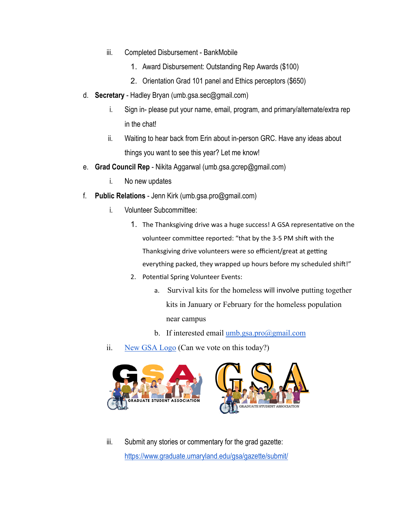- iii. Completed Disbursement BankMobile
	- 1. Award Disbursement: Outstanding Rep Awards (\$100)
	- 2. Orientation Grad 101 panel and Ethics perceptors (\$650)
- d. **Secretary** Hadley Bryan (umb.gsa.sec@gmail.com)
	- i. Sign in- please put your name, email, program, and primary/alternate/extra rep in the chat!
	- ii. Waiting to hear back from Erin about in-person GRC. Have any ideas about things you want to see this year? Let me know!
- e. **Grad Council Rep** Nikita Aggarwal (umb.gsa.gcrep@gmail.com)
	- i. No new updates
- f. **Public Relations** Jenn Kirk (umb.gsa.pro@gmail.com)
	- i. Volunteer Subcommittee:
		- 1. The Thanksgiving drive was a huge success! A GSA representative on the volunteer committee reported: "that by the 3-5 PM shift with the Thanksgiving drive volunteers were so efficient/great at getting everything packed, they wrapped up hours before my scheduled shift!"
		- 2. Potential Spring Volunteer Events:
			- a. Survival kits for the homeless will involve putting together kits in January or February for the homeless population near campus
			- b. If interested email umb.gsa.pro $(a)$ gmail.com
	- ii. [New GSA Logo](https://www.canva.com/design/DAEqTuUWVSU/trm7bV8oTl9l5_SZHKd9qA/view?utm_content=DAEqTuUWVSU&utm_campaign=designshare&utm_medium=link&utm_source=shareyourdesignpanel) (Can we vote on this today?)



iii. Submit any stories or commentary for the grad gazette: <https://www.graduate.umaryland.edu/gsa/gazette/submit/>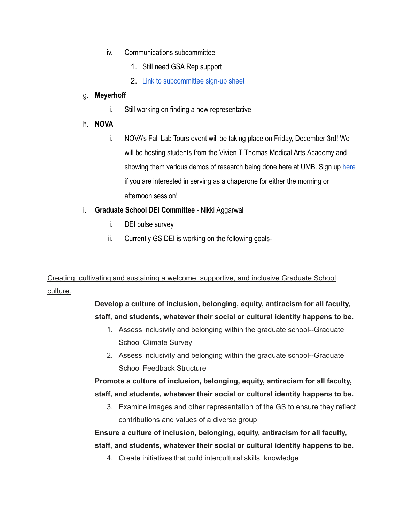- iv. Communications subcommittee
	- 1. Still need GSA Rep support
	- 2. [Link to subcommittee sign-up sheet](https://docs.google.com/spreadsheets/d/1i0KLCGADcoN_xXXSZKCarf5cBUtkC6gA4Yb3Slvn7-0/edit#gid=2013564926)

#### g. **Meyerhoff**

- i. Still working on finding a new representative
- h. **NOVA**
	- i. NOVA's Fall Lab Tours event will be taking place on Friday, December 3rd! We will be hosting students from the Vivien T Thomas Medical Arts Academy and showing them various demos of research being done [here](https://docs.google.com/spreadsheets/d/1WYEjcLD_jvp2na3mmTkmVVP4n6fdXxMraVgwh0101sY/edit#gid=0) at UMB. Sign up here if you are interested in serving as a chaperone for either the morning or afternoon session!
- i. **Graduate School DEI Committee** Nikki Aggarwal
	- i. DEI pulse survey
	- ii. Currently GS DEI is working on the following goals-

### Creating, cultivating and sustaining a welcome, supportive, and inclusive Graduate School culture.

#### **Develop a culture of inclusion, belonging, equity, antiracism for all faculty, staff, and students, whatever their social or cultural identity happens to be.**

- 1. Assess inclusivity and belonging within the graduate school--Graduate School Climate Survey
- 2. Assess inclusivity and belonging within the graduate school--Graduate School Feedback Structure

#### **Promote a culture of inclusion, belonging, equity, antiracism for all faculty, staff, and students, whatever their social or cultural identity happens to be.**

3. Examine images and other representation of the GS to ensure they reflect contributions and values of a diverse group

## **Ensure a culture of inclusion, belonging, equity, antiracism for all faculty, staff, and students, whatever their social or cultural identity happens to be.**

4. Create initiatives that build intercultural skills, knowledge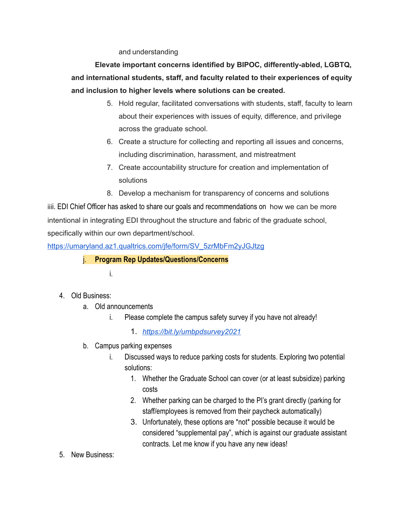and understanding

**Elevate important concerns identified by BIPOC, differently-abled, LGBTQ, and international students, staff, and faculty related to their experiences of equity and inclusion to higher levels where solutions can be created.**

- 5. Hold regular, facilitated conversations with students, staff, faculty to learn about their experiences with issues of equity, difference, and privilege across the graduate school.
- 6. Create a structure for collecting and reporting all issues and concerns, including discrimination, harassment, and mistreatment
- 7. Create accountability structure for creation and implementation of solutions
- 8. Develop a mechanism for transparency of concerns and solutions

iiii. EDI Chief Officer has asked to share our goals and recommendations on how we can be more intentional in integrating EDI throughout the structure and fabric of the graduate school, specifically within our own department/school.

[https://umaryland.az1.qualtrics.com/jfe/form/SV\\_5zrMbFm2yJGJtzg](https://umaryland.az1.qualtrics.com/jfe/form/SV_5zrMbFm2yJGJtzg)

j. **Program Rep Updates/Questions/Concerns**

i.

- 4. Old Business:
	- a. Old announcements
		- i. Please complete the campus safety survey if you have not already!

1. *<https://bit.ly/umbpdsurvey2021>*

- b. Campus parking expenses
	- i. Discussed ways to reduce parking costs for students. Exploring two potential solutions:
		- 1. Whether the Graduate School can cover (or at least subsidize) parking costs
		- 2. Whether parking can be charged to the PI's grant directly (parking for staff/employees is removed from their paycheck automatically)
		- 3. Unfortunately, these options are \*not\* possible because it would be considered "supplemental pay", which is against our graduate assistant contracts. Let me know if you have any new ideas!
- 5. New Business: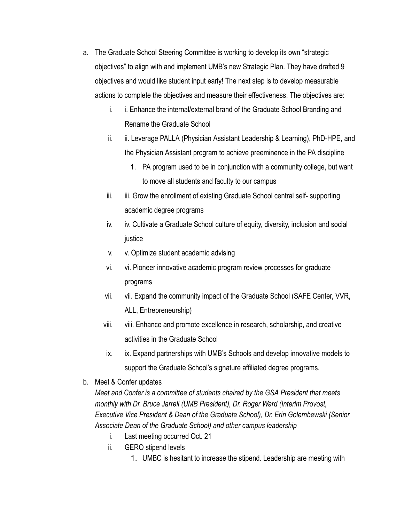- a. The Graduate School Steering Committee is working to develop its own "strategic objectives" to align with and implement UMB's new Strategic Plan. They have drafted 9 objectives and would like student input early! The next step is to develop measurable actions to complete the objectives and measure their effectiveness. The objectives are:
	- i. i. Enhance the internal/external brand of the Graduate School Branding and Rename the Graduate School
	- ii. ii. Leverage PALLA (Physician Assistant Leadership & Learning), PhD-HPE, and the Physician Assistant program to achieve preeminence in the PA discipline
		- 1. PA program used to be in conjunction with a community college, but want to move all students and faculty to our campus
	- iii. iii. Grow the enrollment of existing Graduate School central self- supporting academic degree programs
	- iv. iv. Cultivate a Graduate School culture of equity, diversity, inclusion and social justice
	- v. v. Optimize student academic advising
	- vi. vi. Pioneer innovative academic program review processes for graduate programs
	- vii. vii. Expand the community impact of the Graduate School (SAFE Center, VVR, ALL, Entrepreneurship)
	- viii. viii. Enhance and promote excellence in research, scholarship, and creative activities in the Graduate School
	- ix. ix. Expand partnerships with UMB's Schools and develop innovative models to support the Graduate School's signature affiliated degree programs.
- b. Meet & Confer updates

*Meet and Confer is a committee of students chaired by the GSA President that meets monthly with Dr. Bruce Jarrell (UMB President), Dr. Roger Ward (Interim Provost, Executive Vice President & Dean of the Graduate School), Dr. Erin Golembewski (Senior Associate Dean of the Graduate School) and other campus leadership*

- i. Last meeting occurred Oct. 21
- ii. GERO stipend levels
	- 1. UMBC is hesitant to increase the stipend. Leadership are meeting with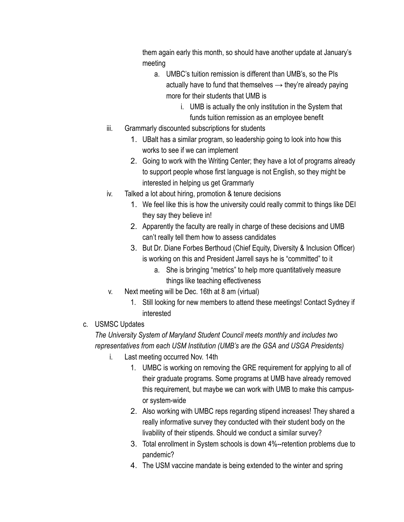them again early this month, so should have another update at January's meeting

- a. UMBC's tuition remission is different than UMB's, so the PIs actually have to fund that themselves  $\rightarrow$  they're already paying more for their students that UMB is
	- i. UMB is actually the only institution in the System that funds tuition remission as an employee benefit
- iii. Grammarly discounted subscriptions for students
	- 1. UBalt has a similar program, so leadership going to look into how this works to see if we can implement
	- 2. Going to work with the Writing Center; they have a lot of programs already to support people whose first language is not English, so they might be interested in helping us get Grammarly
- iv. Talked a lot about hiring, promotion & tenure decisions
	- 1. We feel like this is how the university could really commit to things like DEI they say they believe in!
	- 2. Apparently the faculty are really in charge of these decisions and UMB can't really tell them how to assess candidates
	- 3. But Dr. Diane Forbes Berthoud (Chief Equity, Diversity & Inclusion Officer) is working on this and President Jarrell says he is "committed" to it
		- a. She is bringing "metrics" to help more quantitatively measure things like teaching effectiveness
- v. Next meeting will be Dec. 16th at 8 am (virtual)
	- 1. Still looking for new members to attend these meetings! Contact Sydney if interested
- c. USMSC Updates

# *The University System of Maryland Student Council meets monthly and includes two representatives from each USM Institution (UMB's are the GSA and USGA Presidents)*

- i. Last meeting occurred Nov. 14th
	- 1. UMBC is working on removing the GRE requirement for applying to all of their graduate programs. Some programs at UMB have already removed this requirement, but maybe we can work with UMB to make this campusor system-wide
	- 2. Also working with UMBC reps regarding stipend increases! They shared a really informative survey they conducted with their student body on the livability of their stipends. Should we conduct a similar survey?
	- 3. Total enrollment in System schools is down 4%--retention problems due to pandemic?
	- 4. The USM vaccine mandate is being extended to the winter and spring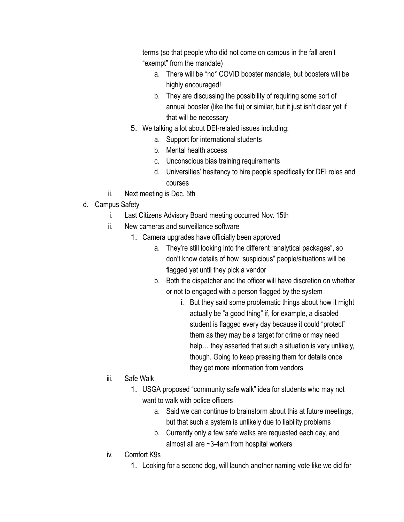terms (so that people who did not come on campus in the fall aren't "exempt" from the mandate)

- a. There will be \*no\* COVID booster mandate, but boosters will be highly encouraged!
- b. They are discussing the possibility of requiring some sort of annual booster (like the flu) or similar, but it just isn't clear yet if that will be necessary
- 5. We talking a lot about DEI-related issues including:
	- a. Support for international students
	- b. Mental health access
	- c. Unconscious bias training requirements
	- d. Universities' hesitancy to hire people specifically for DEI roles and courses
- ii. Next meeting is Dec. 5th
- d. Campus Safety
	- i. Last Citizens Advisory Board meeting occurred Nov. 15th
	- ii. New cameras and surveillance software
		- 1. Camera upgrades have officially been approved
			- a. They're still looking into the different "analytical packages", so don't know details of how "suspicious" people/situations will be flagged yet until they pick a vendor
			- b. Both the dispatcher and the officer will have discretion on whether or not to engaged with a person flagged by the system
				- i. But they said some problematic things about how it might actually be "a good thing" if, for example, a disabled student is flagged every day because it could "protect" them as they may be a target for crime or may need help… they asserted that such a situation is very unlikely, though. Going to keep pressing them for details once they get more information from vendors
	- iii. Safe Walk
		- 1. USGA proposed "community safe walk" idea for students who may not want to walk with police officers
			- a. Said we can continue to brainstorm about this at future meetings, but that such a system is unlikely due to liability problems
			- b. Currently only a few safe walks are requested each day, and almost all are ~3-4am from hospital workers
	- iv. Comfort K9s
		- 1. Looking for a second dog, will launch another naming vote like we did for